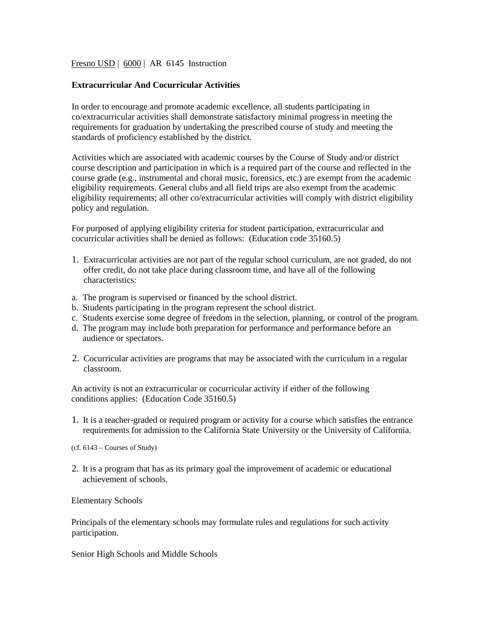### Fresno USD | 6000 | AR 6145 Instruction

## **Extracurricular And Cocurricular Activities**

In order to encourage and promote academic excellence, all students participating in co/extracurricular activities shall demonstrate satisfactory minimal progress in meeting the requirements for graduation by undertaking the prescribed course of study and meeting the standards of proficiency established by the district.

Activities which are associated with academic courses by the Course of Study and/or district course description and participation in which is a required part of the course and reflected in the course grade (e.g., instrumental and choral music, forensics, etc.) are exempt from the academic eligibility requirements. General clubs and all field trips are also exempt from the academic eligibility requirements; all other co/extracurricular activities will comply with district eligibility policy and regulation.

For purposed of applying eligibility criteria for student participation, extracurricular and cocurricular activities shall be denied as follows: (Education code 35160.5)

- 1. Extracurricular activities are not part of the regular school curriculum, are not graded, do not offer credit, do not take place during classroom time, and have all of the following characteristics:
- a. The program is supervised or financed by the school district.
- b. Students participating in the program represent the school district.
- c. Students exercise some degree of freedom in the selection, planning, or control of the program.
- d. The program may include both preparation for performance and performance before an audience or spectators.
- 2. Cocurricular activities are programs that may be associated with the curriculum in a regular classroom.

An activity is not an extracurricular or cocurricular activity if either of the following conditions applies: (Education Code 35160.5)

1. It is a teacher-graded or required program or activity for a course which satisfies the entrance requirements for admission to the California State University or the University of California.

(cf. 6143 – Courses of Study)

2. It is a program that has as its primary goal the improvement of academic or educational achievement of schools.

#### Elementary Schools

Principals of the elementary schools may formulate rules and regulations for such activity participation.

Senior High Schools and Middle Schools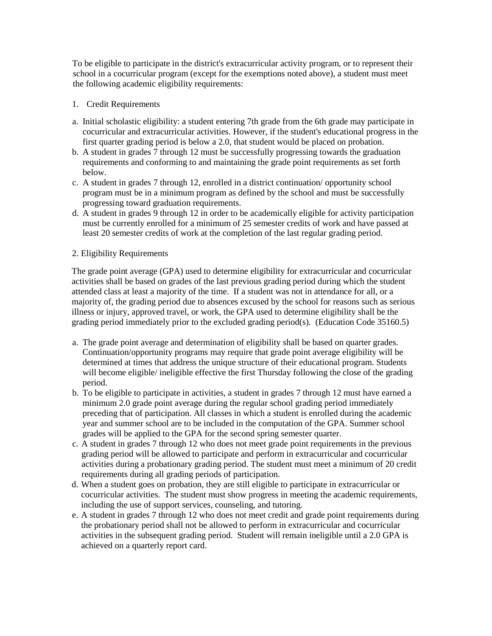To be eligible to participate in the district's extracurricular activity program, or to represent their school in a cocurricular program (except for the exemptions noted above), a student must meet the following academic eligibility requirements:

- 1. Credit Requirements
- a. Initial scholastic eligibility: a student entering 7th grade from the 6th grade may participate in cocurricular and extracurricular activities. However, if the student's educational progress in the first quarter grading period is below a 2.0, that student would be placed on probation.
- b. A student in grades 7 through 12 must be successfully progressing towards the graduation requirements and conforming to and maintaining the grade point requirements as set forth below.
- c. A student in grades 7 through 12, enrolled in a district continuation/ opportunity school program must be in a minimum program as defined by the school and must be successfully progressing toward graduation requirements.
- d. A student in grades 9 through 12 in order to be academically eligible for activity participation must be currently enrolled for a minimum of 25 semester credits of work and have passed at least 20 semester credits of work at the completion of the last regular grading period.

# 2. Eligibility Requirements

The grade point average (GPA) used to determine eligibility for extracurricular and cocurricular activities shall be based on grades of the last previous grading period during which the student attended class at least a majority of the time. If a student was not in attendance for all, or a majority of, the grading period due to absences excused by the school for reasons such as serious illness or injury, approved travel, or work, the GPA used to determine eligibility shall be the grading period immediately prior to the excluded grading period(s). (Education Code 35160.5)

- a. The grade point average and determination of eligibility shall be based on quarter grades. Continuation/opportunity programs may require that grade point average eligibility will be determined at times that address the unique structure of their educational program. Students will become eligible/ ineligible effective the first Thursday following the close of the grading period.
- b. To be eligible to participate in activities, a student in grades 7 through 12 must have earned a minimum 2.0 grade point average during the regular school grading period immediately preceding that of participation. All classes in which a student is enrolled during the academic year and summer school are to be included in the computation of the GPA. Summer school grades will be applied to the GPA for the second spring semester quarter.
- c. A student in grades 7 through 12 who does not meet grade point requirements in the previous grading period will be allowed to participate and perform in extracurricular and cocurricular activities during a probationary grading period. The student must meet a minimum of 20 credit requirements during all grading periods of participation.
- d. When a student goes on probation, they are still eligible to participate in extracurricular or cocurricular activities. The student must show progress in meeting the academic requirements, including the use of support services, counseling, and tutoring.
- e. A student in grades 7 through 12 who does not meet credit and grade point requirements during the probationary period shall not be allowed to perform in extracurricular and cocurricular activities in the subsequent grading period. Student will remain ineligible until a 2.0 GPA is achieved on a quarterly report card.